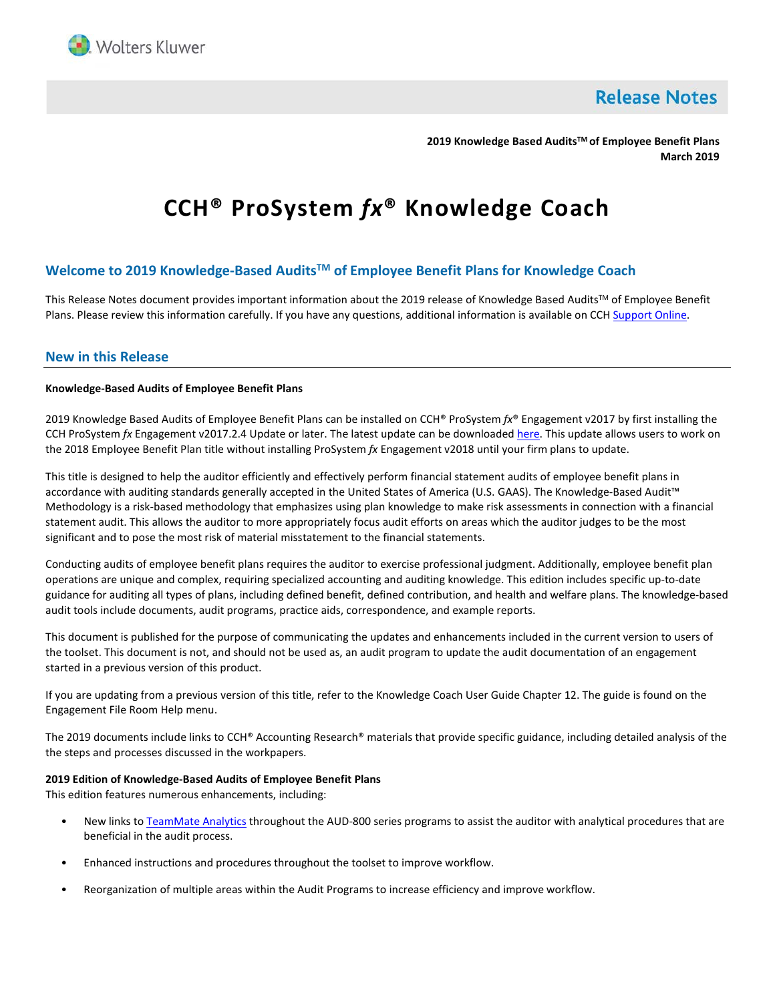

**Release Notes** 

**2019 Knowledge Based AuditsTM of Employee Benefit Plans March 2019**

# **CCH® ProSystem** *fx***® Knowledge Coach**

# **Welcome to 2019 Knowledge-Based AuditsTM of Employee Benefit Plans for Knowledge Coach**

This Release Notes document provides important information about the 2019 release of Knowledge Based Audits™ of Employee Benefit Plans. Please review this information carefully. If you have any questions, additional information is available on CC[H Support Online.](http://support.cch.com/productsupport/)

# **New in this Release**

## **Knowledge-Based Audits of Employee Benefit Plans**

2019 Knowledge Based Audits of Employee Benefit Plans can be installed on CCH® ProSystem *fx*® Engagement v2017 by first installing the CCH ProSystem *fx* Engagement v2017.2.4 Update or later. The latest update can be downloade[d here.](https://support.cch.com/updates/Engagement/release2017/release2017.aspx) This update allows users to work on the 2018 Employee Benefit Plan title without installing ProSystem *fx* Engagement v2018 until your firm plans to update.

This title is designed to help the auditor efficiently and effectively perform financial statement audits of employee benefit plans in accordance with auditing standards generally accepted in the United States of America (U.S. GAAS). The Knowledge-Based Audit™ Methodology is a risk-based methodology that emphasizes using plan knowledge to make risk assessments in connection with a financial statement audit. This allows the auditor to more appropriately focus audit efforts on areas which the auditor judges to be the most significant and to pose the most risk of material misstatement to the financial statements.

Conducting audits of employee benefit plans requires the auditor to exercise professional judgment. Additionally, employee benefit plan operations are unique and complex, requiring specialized accounting and auditing knowledge. This edition includes specific up-to-date guidance for auditing all types of plans, including defined benefit, defined contribution, and health and welfare plans. The knowledge-based audit tools include documents, audit programs, practice aids, correspondence, and example reports.

This document is published for the purpose of communicating the updates and enhancements included in the current version to users of the toolset. This document is not, and should not be used as, an audit program to update the audit documentation of an engagement started in a previous version of this product.

If you are updating from a previous version of this title, refer to the Knowledge Coach User Guide Chapter 12. The guide is found on the Engagement File Room Help menu.

The 2019 documents include links to CCH® Accounting Research® materials that provide specific guidance, including detailed analysis of the the steps and processes discussed in the workpapers.

## **2019 Edition of Knowledge-Based Audits of Employee Benefit Plans**

This edition features numerous enhancements, including:

- New links to [TeamMate Analytics](http://engagetax.wolterskluwer.com/l/339101/2018-03-29/2w349) throughout the AUD-800 series programs to assist the auditor with analytical procedures that are beneficial in the audit process.
- Enhanced instructions and procedures throughout the toolset to improve workflow.
- Reorganization of multiple areas within the Audit Programs to increase efficiency and improve workflow.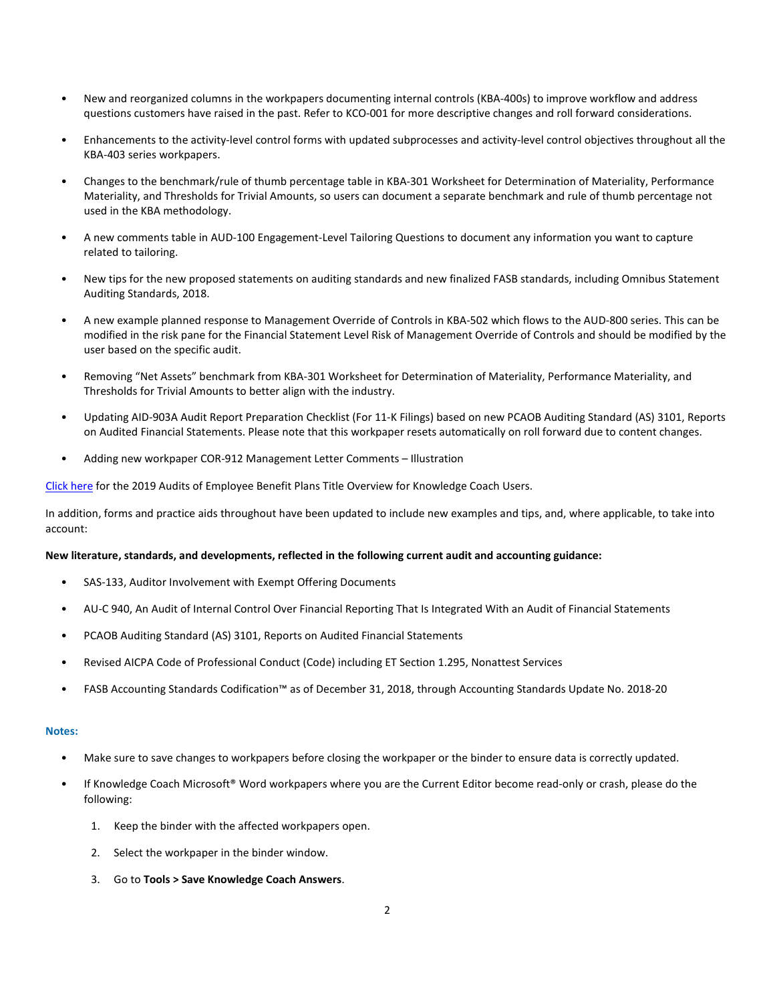- New and reorganized columns in the workpapers documenting internal controls (KBA-400s) to improve workflow and address questions customers have raised in the past. Refer to KCO-001 for more descriptive changes and roll forward considerations.
- Enhancements to the activity-level control forms with updated subprocesses and activity-level control objectives throughout all the KBA-403 series workpapers.
- Changes to the benchmark/rule of thumb percentage table in KBA-301 Worksheet for Determination of Materiality, Performance Materiality, and Thresholds for Trivial Amounts, so users can document a separate benchmark and rule of thumb percentage not used in the KBA methodology.
- A new comments table in AUD-100 Engagement-Level Tailoring Questions to document any information you want to capture related to tailoring.
- New tips for the new proposed statements on auditing standards and new finalized FASB standards, including Omnibus Statement Auditing Standards, 2018.
- A new example planned response to Management Override of Controls in KBA-502 which flows to the AUD-800 series. This can be modified in the risk pane for the Financial Statement Level Risk of Management Override of Controls and should be modified by the user based on the specific audit.
- Removing "Net Assets" benchmark from KBA-301 Worksheet for Determination of Materiality, Performance Materiality, and Thresholds for Trivial Amounts to better align with the industry.
- Updating AID-903A Audit Report Preparation Checklist (For 11-K Filings) based on new PCAOB Auditing Standard (AS) 3101, Reports on Audited Financial Statements. Please note that this workpaper resets automatically on roll forward due to content changes.
- Adding new workpaper COR-912 Management Letter Comments Illustration

[Click here](http://support.cch.com/updates/KnowledgeCoach/pdf/guides_tab/2019%20Employee%20Benefit%20Plans%20Title%20Overview%20for%20Knowledge%20Coach%20Users.pdf) for the 2019 Audits of Employee Benefit Plans Title Overview for Knowledge Coach Users.

In addition, forms and practice aids throughout have been updated to include new examples and tips, and, where applicable, to take into account:

## **New literature, standards, and developments, reflected in the following current audit and accounting guidance:**

- SAS-133, Auditor Involvement with Exempt Offering Documents
- AU-C 940, An Audit of Internal Control Over Financial Reporting That Is Integrated With an Audit of Financial Statements
- PCAOB Auditing Standard (AS) 3101, Reports on Audited Financial Statements
- Revised AICPA Code of Professional Conduct (Code) including ET Section 1.295, Nonattest Services
- FASB Accounting Standards Codification™ as of December 31, 2018, through Accounting Standards Update No. 2018-20

## **Notes:**

- Make sure to save changes to workpapers before closing the workpaper or the binder to ensure data is correctly updated.
- If Knowledge Coach Microsoft® Word workpapers where you are the Current Editor become read-only or crash, please do the following:
	- 1. Keep the binder with the affected workpapers open.
	- 2. Select the workpaper in the binder window.
	- 3. Go to **Tools > Save Knowledge Coach Answers**.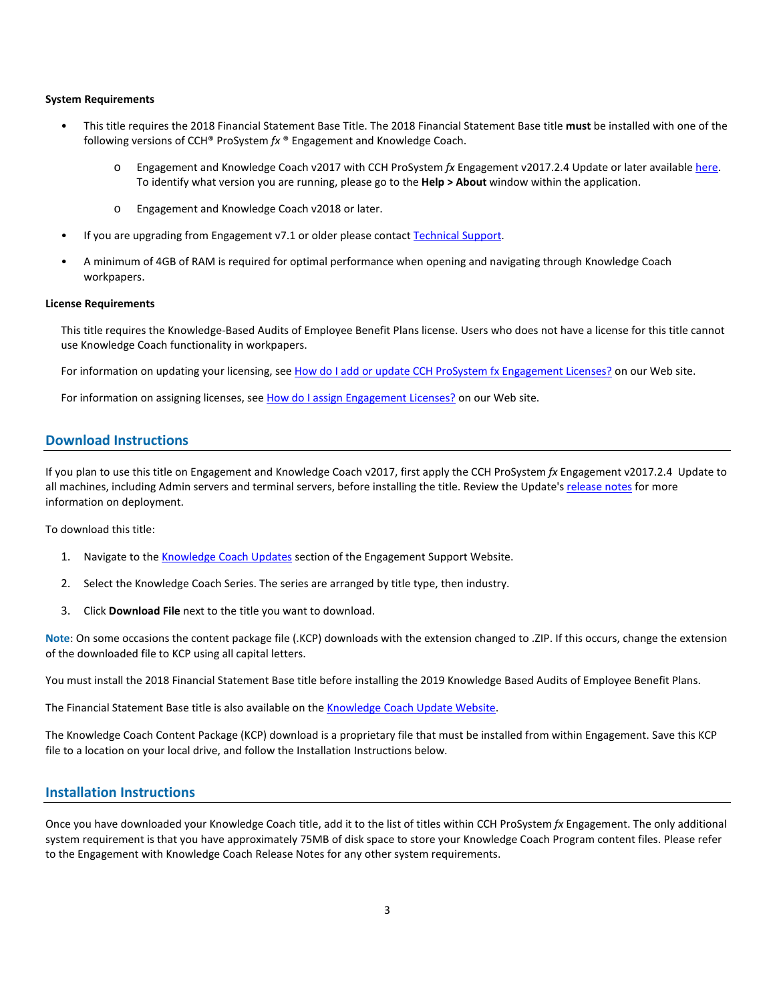## **System Requirements**

- This title requires the 2018 Financial Statement Base Title. The 2018 Financial Statement Base title **must** be installed with one of the following versions of CCH® ProSystem *fx* ® Engagement and Knowledge Coach.
	- o Engagement and Knowledge Coach v2017 with CCH ProSystem *fx* Engagement v2017.2.4 Update or later availabl[e here.](https://support.cch.com/updates/Engagement/release2017/release2017.aspx)  To identify what version you are running, please go to the **Help > About** window within the application.
	- o Engagement and Knowledge Coach v2018 or later.
- If you are upgrading from Engagement v7.1 or older please contact [Technical Support.](https://support.cch.com/contact)
- A minimum of 4GB of RAM is required for optimal performance when opening and navigating through Knowledge Coach workpapers.

#### **License Requirements**

This title requires the Knowledge-Based Audits of Employee Benefit Plans license. Users who does not have a license for this title cannot use Knowledge Coach functionality in workpapers.

For information on updating your licensing, see [How do I add or update CCH ProSystem fx Engagement Licenses?](https://support.cch.com/kb/solution.aspx/sw3937) on our Web site.

For information on assigning licenses, see [How do I assign Engagement Licenses?](https://support.cch.com/kb/solution.aspx/sw3943) on our Web site.

# **Download Instructions**

If you plan to use this title on Engagement and Knowledge Coach v2017, first apply the CCH ProSystem *fx* Engagement v2017.2.4 Update to all machines, including Admin servers and terminal servers, before installing the title. Review the Update's [release notes](https://d2iceilwdglxpz.cloudfront.net/release_notes/CCH%20ProSystem%20fx%20Engagement%20Release%20Notes%202017.2.4.pdf) for more information on deployment.

To download this title:

- 1. Navigate to the [Knowledge Coach Updates](http://support.cch.com/updates/KnowledgeCoach) section of the Engagement Support Website.
- 2. Select the Knowledge Coach Series. The series are arranged by title type, then industry.
- 3. Click **Download File** next to the title you want to download.

**Note**: On some occasions the content package file (.KCP) downloads with the extension changed to .ZIP. If this occurs, change the extension of the downloaded file to KCP using all capital letters.

You must install the 2018 Financial Statement Base title before installing the 2019 Knowledge Based Audits of Employee Benefit Plans.

The Financial Statement Base title is also available on th[e Knowledge Coach Update Website.](http://support.cch.com/updates/KnowledgeCoach)

The Knowledge Coach Content Package (KCP) download is a proprietary file that must be installed from within Engagement. Save this KCP file to a location on your local drive, and follow the Installation Instructions below.

# **Installation Instructions**

Once you have downloaded your Knowledge Coach title, add it to the list of titles within CCH ProSystem *fx* Engagement. The only additional system requirement is that you have approximately 75MB of disk space to store your Knowledge Coach Program content files. Please refer to the Engagement with Knowledge Coach Release Notes for any other system requirements.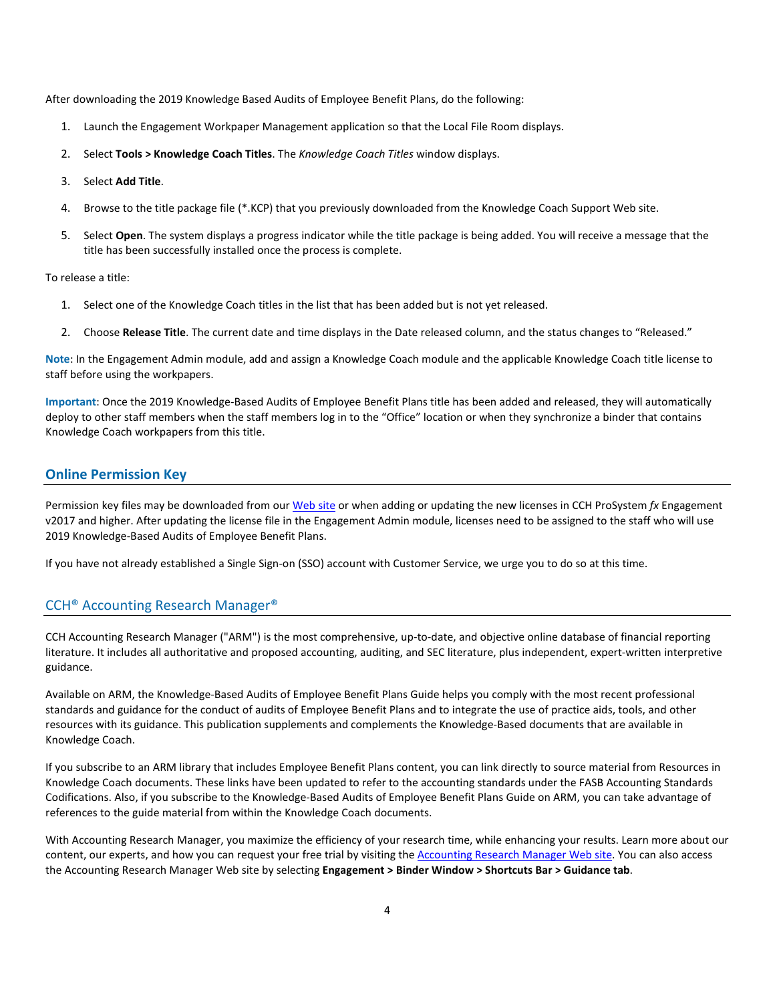After downloading the 2019 Knowledge Based Audits of Employee Benefit Plans, do the following:

- 1. Launch the Engagement Workpaper Management application so that the Local File Room displays.
- 2. Select **Tools > Knowledge Coach Titles**. The *Knowledge Coach Titles* window displays.
- 3. Select **Add Title**.
- 4. Browse to the title package file (\*.KCP) that you previously downloaded from the Knowledge Coach Support Web site.
- 5. Select **Open**. The system displays a progress indicator while the title package is being added. You will receive a message that the title has been successfully installed once the process is complete.

To release a title:

- 1. Select one of the Knowledge Coach titles in the list that has been added but is not yet released.
- 2. Choose **Release Title**. The current date and time displays in the Date released column, and the status changes to "Released."

**Note**: In the Engagement Admin module, add and assign a Knowledge Coach module and the applicable Knowledge Coach title license to staff before using the workpapers.

**Important**: Once the 2019 Knowledge-Based Audits of Employee Benefit Plans title has been added and released, they will automatically deploy to other staff members when the staff members log in to the "Office" location or when they synchronize a binder that contains Knowledge Coach workpapers from this title.

# **Online Permission Key**

Permission key files may be downloaded from ou[r Web](https://prosystemfxsupport.tax.cchgroup.com/permkey/download.aspx) site or when adding or updating the new licenses in CCH ProSystem *fx* Engagement v2017 and higher. After updating the license file in the Engagement Admin module, licenses need to be assigned to the staff who will use 2019 Knowledge-Based Audits of Employee Benefit Plans.

If you have not already established a Single Sign-on (SSO) account with Customer Service, we urge you to do so at this time.

# CCH® Accounting Research Manager®

CCH Accounting Research Manager ("ARM") is the most comprehensive, up-to-date, and objective online database of financial reporting literature. It includes all authoritative and proposed accounting, auditing, and SEC literature, plus independent, expert-written interpretive guidance.

Available on ARM, the Knowledge-Based Audits of Employee Benefit Plans Guide helps you comply with the most recent professional standards and guidance for the conduct of audits of Employee Benefit Plans and to integrate the use of practice aids, tools, and other resources with its guidance. This publication supplements and complements the Knowledge-Based documents that are available in Knowledge Coach.

If you subscribe to an ARM library that includes Employee Benefit Plans content, you can link directly to source material from Resources in Knowledge Coach documents. These links have been updated to refer to the accounting standards under the FASB Accounting Standards Codifications. Also, if you subscribe to the Knowledge-Based Audits of Employee Benefit Plans Guide on ARM, you can take advantage of references to the guide material from within the Knowledge Coach documents.

With Accounting Research Manager, you maximize the efficiency of your research time, while enhancing your results. Learn more about our content, our experts, and how you can request your free trial by visiting the [Accounting Research Manager Web](http://www.accountingresearchmanager.com/) site. You can also access the Accounting Research Manager Web site by selecting **Engagement > Binder Window > Shortcuts Bar > Guidance tab**.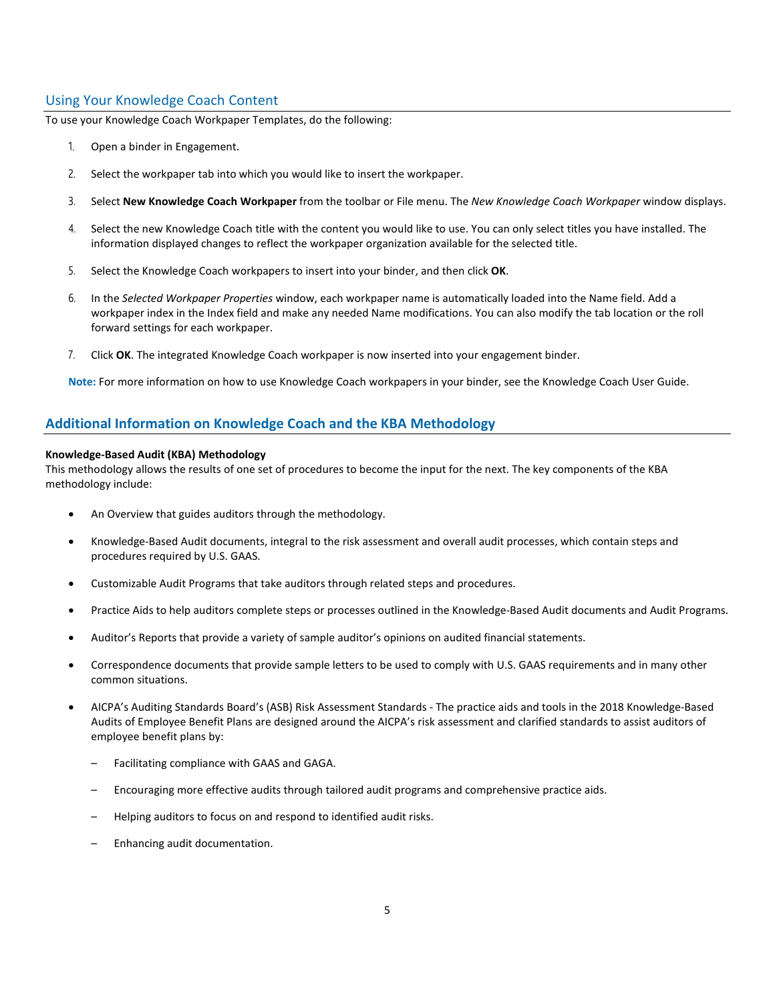# Using Your Knowledge Coach Content

To use your Knowledge Coach Workpaper Templates, do the following:

- 1. Open a binder in Engagement.
- 2. Select the workpaper tab into which you would like to insert the workpaper.
- 3. Select **New Knowledge Coach Workpaper** from the toolbar or File menu. The *New Knowledge Coach Workpaper* window displays.
- 4. Select the new Knowledge Coach title with the content you would like to use. You can only select titles you have installed. The information displayed changes to reflect the workpaper organization available for the selected title.
- 5. Select the Knowledge Coach workpapers to insert into your binder, and then click **OK**.
- 6. In the *Selected Workpaper Properties* window, each workpaper name is automatically loaded into the Name field. Add a workpaper index in the Index field and make any needed Name modifications. You can also modify the tab location or the roll forward settings for each workpaper.
- 7. Click **OK**. The integrated Knowledge Coach workpaper is now inserted into your engagement binder.

**Note:** For more information on how to use Knowledge Coach workpapers in your binder, see the Knowledge Coach User Guide.

# **Additional Information on Knowledge Coach and the KBA Methodology**

## **Knowledge-Based Audit (KBA) Methodology**

This methodology allows the results of one set of procedures to become the input for the next. The key components of the KBA methodology include:

- An Overview that guides auditors through the methodology.
- Knowledge-Based Audit documents, integral to the risk assessment and overall audit processes, which contain steps and procedures required by U.S. GAAS.
- Customizable Audit Programs that take auditors through related steps and procedures.
- Practice Aids to help auditors complete steps or processes outlined in the Knowledge-Based Audit documents and Audit Programs.
- Auditor's Reports that provide a variety of sample auditor's opinions on audited financial statements.
- Correspondence documents that provide sample letters to be used to comply with U.S. GAAS requirements and in many other common situations.
- AICPA's Auditing Standards Board's (ASB) Risk Assessment Standards The practice aids and tools in the 2018 Knowledge-Based Audits of Employee Benefit Plans are designed around the AICPA's risk assessment and clarified standards to assist auditors of employee benefit plans by:
	- Facilitating compliance with GAAS and GAGA.
	- Encouraging more effective audits through tailored audit programs and comprehensive practice aids.
	- Helping auditors to focus on and respond to identified audit risks.
	- Enhancing audit documentation.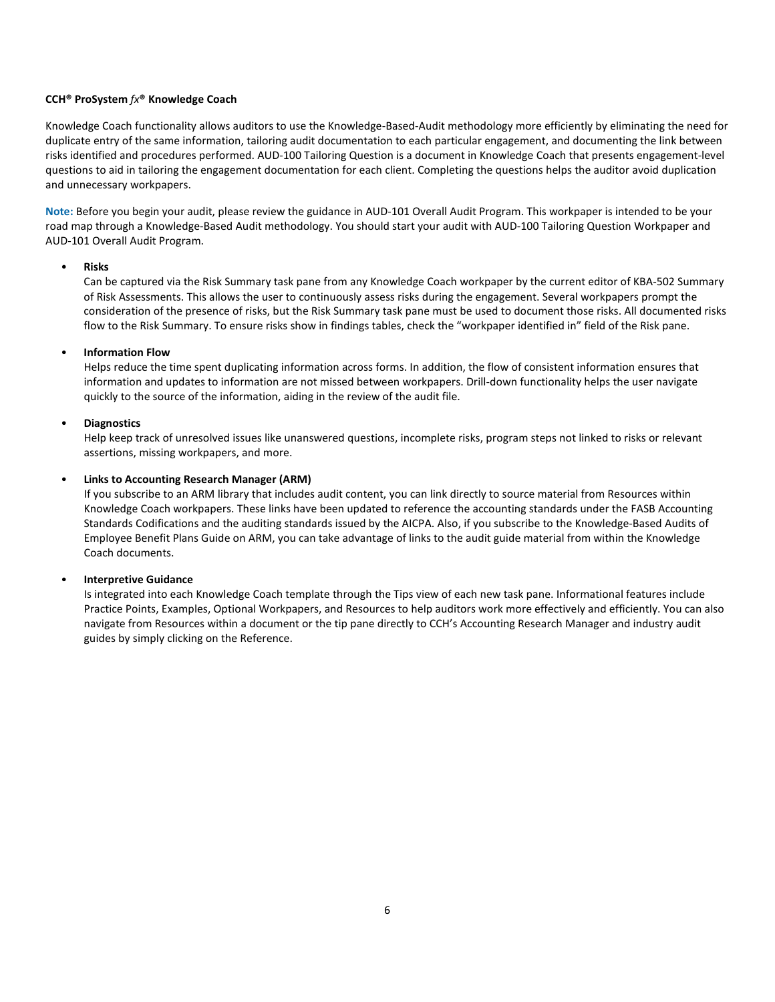## **CCH® ProSystem** *fx***® Knowledge Coach**

Knowledge Coach functionality allows auditors to use the Knowledge-Based-Audit methodology more efficiently by eliminating the need for duplicate entry of the same information, tailoring audit documentation to each particular engagement, and documenting the link between risks identified and procedures performed. AUD-100 Tailoring Question is a document in Knowledge Coach that presents engagement-level questions to aid in tailoring the engagement documentation for each client. Completing the questions helps the auditor avoid duplication and unnecessary workpapers.

**Note:** Before you begin your audit, please review the guidance in AUD-101 Overall Audit Program. This workpaper is intended to be your road map through a Knowledge-Based Audit methodology. You should start your audit with AUD-100 Tailoring Question Workpaper and AUD-101 Overall Audit Program.

## • **Risks**

Can be captured via the Risk Summary task pane from any Knowledge Coach workpaper by the current editor of KBA-502 Summary of Risk Assessments. This allows the user to continuously assess risks during the engagement. Several workpapers prompt the consideration of the presence of risks, but the Risk Summary task pane must be used to document those risks. All documented risks flow to the Risk Summary. To ensure risks show in findings tables, check the "workpaper identified in" field of the Risk pane.

## • **Information Flow**

Helps reduce the time spent duplicating information across forms. In addition, the flow of consistent information ensures that information and updates to information are not missed between workpapers. Drill-down functionality helps the user navigate quickly to the source of the information, aiding in the review of the audit file.

#### • **Diagnostics**

Help keep track of unresolved issues like unanswered questions, incomplete risks, program steps not linked to risks or relevant assertions, missing workpapers, and more.

#### • **Links to Accounting Research Manager (ARM)**

If you subscribe to an ARM library that includes audit content, you can link directly to source material from Resources within Knowledge Coach workpapers. These links have been updated to reference the accounting standards under the FASB Accounting Standards Codifications and the auditing standards issued by the AICPA. Also, if you subscribe to the Knowledge-Based Audits of Employee Benefit Plans Guide on ARM, you can take advantage of links to the audit guide material from within the Knowledge Coach documents.

#### • **Interpretive Guidance**

Is integrated into each Knowledge Coach template through the Tips view of each new task pane. Informational features include Practice Points, Examples, Optional Workpapers, and Resources to help auditors work more effectively and efficiently. You can also navigate from Resources within a document or the tip pane directly to CCH's Accounting Research Manager and industry audit guides by simply clicking on the Reference.